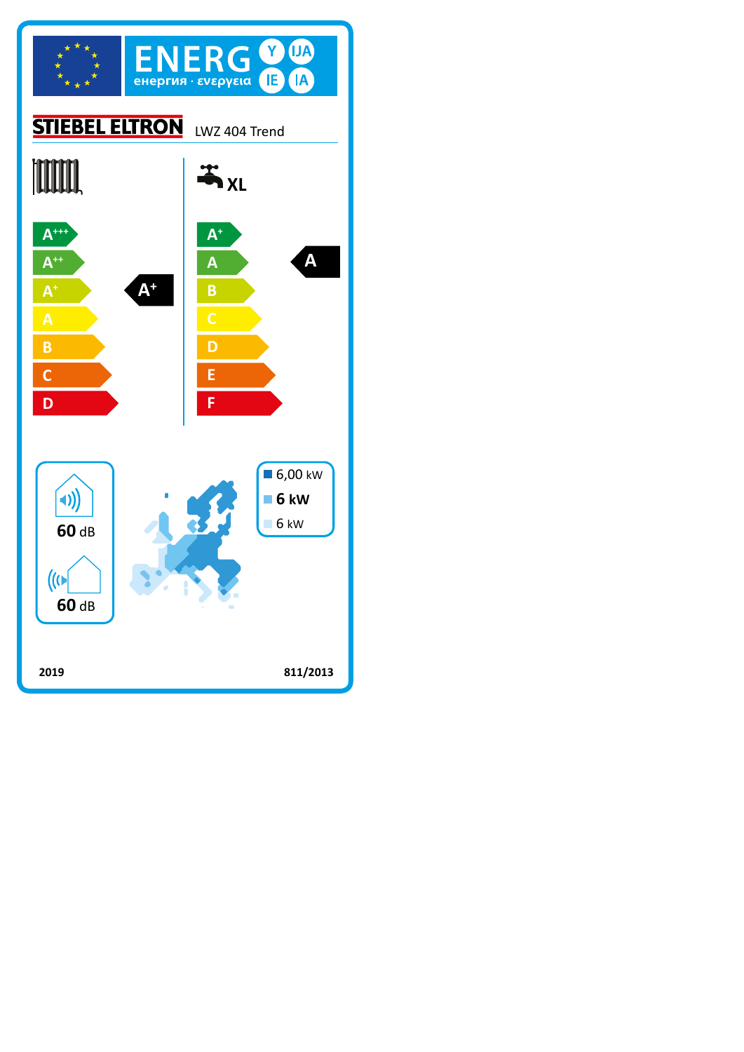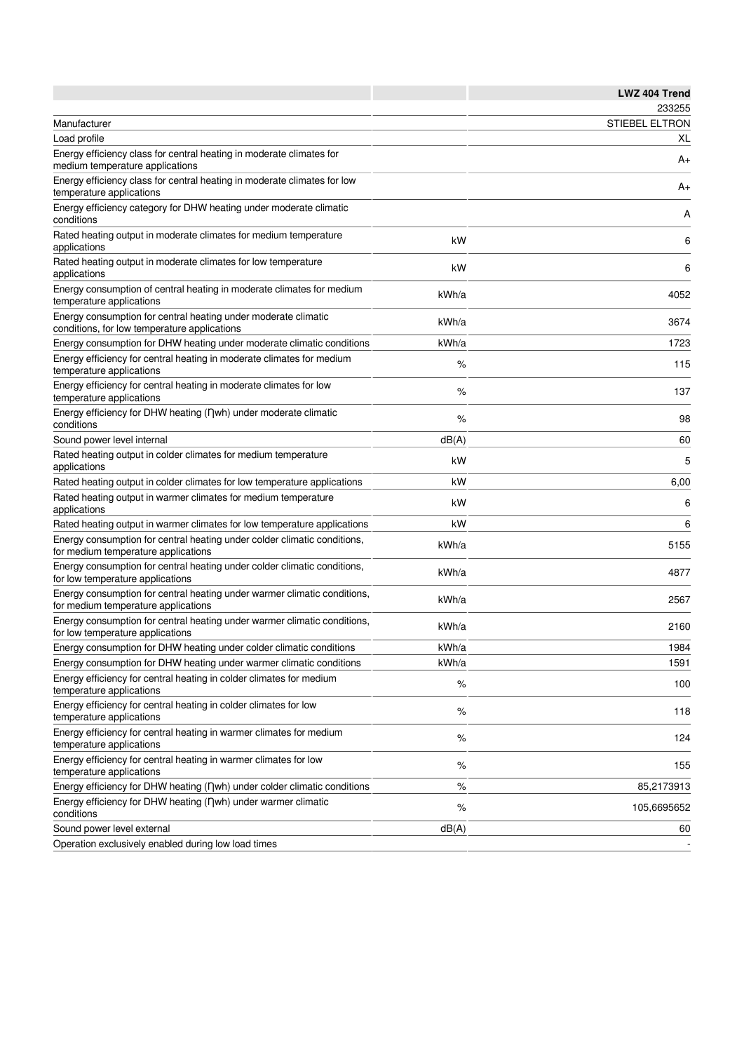|                                                                                                                 |       | <b>LWZ 404 Trend</b>  |
|-----------------------------------------------------------------------------------------------------------------|-------|-----------------------|
|                                                                                                                 |       | 233255                |
| Manufacturer                                                                                                    |       | <b>STIEBEL ELTRON</b> |
| Load profile                                                                                                    |       | XL                    |
| Energy efficiency class for central heating in moderate climates for<br>medium temperature applications         |       | A+                    |
| Energy efficiency class for central heating in moderate climates for low<br>temperature applications            |       | A+                    |
| Energy efficiency category for DHW heating under moderate climatic<br>conditions                                |       | Α                     |
| Rated heating output in moderate climates for medium temperature<br>applications                                | kW    | 6                     |
| Rated heating output in moderate climates for low temperature<br>applications                                   | kW    | 6                     |
| Energy consumption of central heating in moderate climates for medium<br>temperature applications               | kWh/a | 4052                  |
| Energy consumption for central heating under moderate climatic<br>conditions, for low temperature applications  | kWh/a | 3674                  |
| Energy consumption for DHW heating under moderate climatic conditions                                           | kWh/a | 1723                  |
| Energy efficiency for central heating in moderate climates for medium<br>temperature applications               | %     | 115                   |
| Energy efficiency for central heating in moderate climates for low<br>temperature applications                  | %     | 137                   |
| Energy efficiency for DHW heating (nwh) under moderate climatic<br>conditions                                   | %     | 98                    |
| Sound power level internal                                                                                      | dB(A) | 60                    |
| Rated heating output in colder climates for medium temperature<br>applications                                  | kW    | 5                     |
| Rated heating output in colder climates for low temperature applications                                        | kW    | 6,00                  |
| Rated heating output in warmer climates for medium temperature<br>applications                                  | kW    | 6                     |
| Rated heating output in warmer climates for low temperature applications                                        | kW    | 6                     |
| Energy consumption for central heating under colder climatic conditions,<br>for medium temperature applications | kWh/a | 5155                  |
| Energy consumption for central heating under colder climatic conditions,<br>for low temperature applications    | kWh/a | 4877                  |
| Energy consumption for central heating under warmer climatic conditions,<br>for medium temperature applications | kWh/a | 2567                  |
| Energy consumption for central heating under warmer climatic conditions,<br>for low temperature applications    | kWh/a | 2160                  |
| Energy consumption for DHW heating under colder climatic conditions                                             | kWh/a | 1984                  |
| Energy consumption for DHW heating under warmer climatic conditions                                             | kWh/a | 1591                  |
| Energy efficiency for central heating in colder climates for medium<br>temperature applications                 | $\%$  | 100                   |
| Energy efficiency for central heating in colder climates for low<br>temperature applications                    | %     | 118                   |
| Energy efficiency for central heating in warmer climates for medium<br>temperature applications                 | $\%$  | 124                   |
| Energy efficiency for central heating in warmer climates for low<br>temperature applications                    | %     | 155                   |
| Energy efficiency for DHW heating (nwh) under colder climatic conditions                                        | $\%$  | 85,2173913            |
| Energy efficiency for DHW heating (Dwh) under warmer climatic<br>conditions                                     | $\%$  | 105,6695652           |
| Sound power level external                                                                                      | dB(A) | 60                    |
| Operation exclusively enabled during low load times                                                             |       |                       |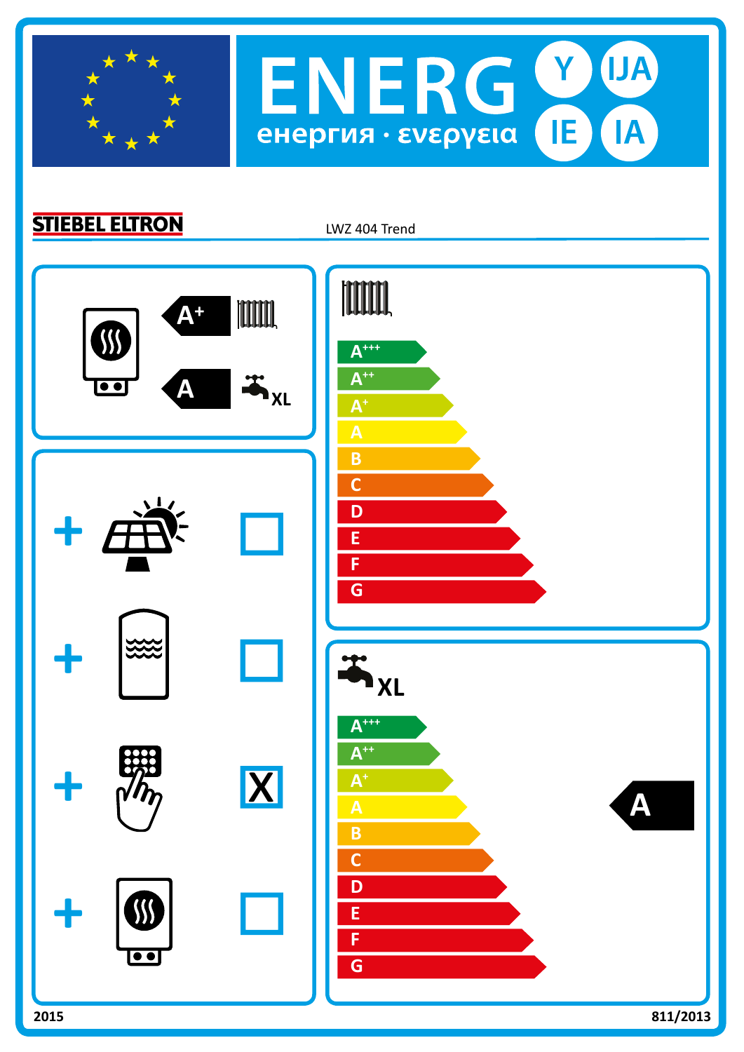

**STIEBEL ELTRON** 

LWZ 404 Trend

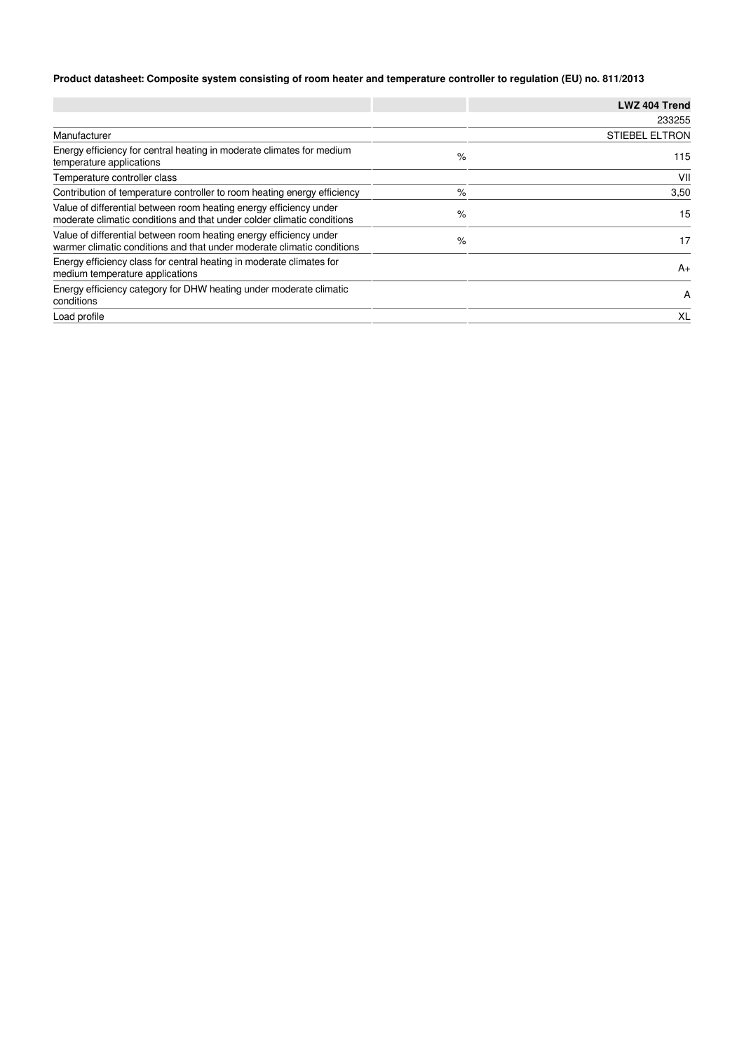## **Product datasheet: Composite system consisting of room heater and temperature controller to regulation (EU) no. 811/2013**

|                                                                                                                                              |   | LWZ 404 Trend         |
|----------------------------------------------------------------------------------------------------------------------------------------------|---|-----------------------|
|                                                                                                                                              |   | 233255                |
| Manufacturer                                                                                                                                 |   | <b>STIEBEL ELTRON</b> |
| Energy efficiency for central heating in moderate climates for medium<br>temperature applications                                            | % | 115                   |
| Temperature controller class                                                                                                                 |   | VII                   |
| Contribution of temperature controller to room heating energy efficiency                                                                     | % | 3,50                  |
| Value of differential between room heating energy efficiency under<br>moderate climatic conditions and that under colder climatic conditions | % | 15                    |
| Value of differential between room heating energy efficiency under<br>warmer climatic conditions and that under moderate climatic conditions | % | 17                    |
| Energy efficiency class for central heating in moderate climates for<br>medium temperature applications                                      |   | $A+$                  |
| Energy efficiency category for DHW heating under moderate climatic<br>conditions                                                             |   | A                     |
| Load profile                                                                                                                                 |   | XL                    |